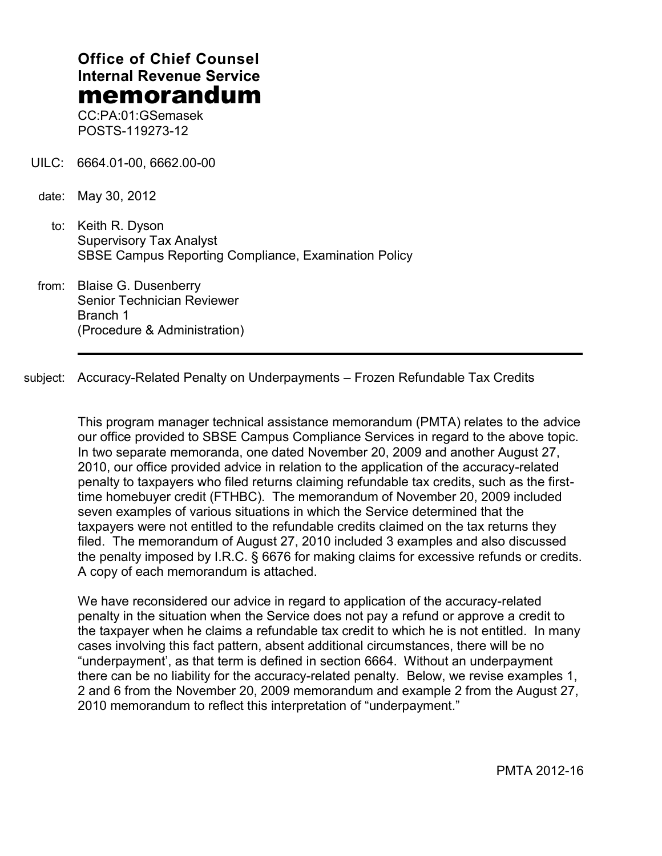# **Office of Chief Counsel Internal Revenue Service** memorandum

CC:PA:01:GSemasek POSTS-119273-12

- UILC: 6664.01-00, 6662.00-00
- date: May 30, 2012
	- to: Keith R. Dyson Supervisory Tax Analyst SBSE Campus Reporting Compliance, Examination Policy
- from: Blaise G. Dusenberry Senior Technician Reviewer Branch 1 (Procedure & Administration)

subject: Accuracy-Related Penalty on Underpayments – Frozen Refundable Tax Credits

This program manager technical assistance memorandum (PMTA) relates to the advice our office provided to SBSE Campus Compliance Services in regard to the above topic. In two separate memoranda, one dated November 20, 2009 and another August 27, 2010, our office provided advice in relation to the application of the accuracy-related penalty to taxpayers who filed returns claiming refundable tax credits, such as the firsttime homebuyer credit (FTHBC). The memorandum of November 20, 2009 included seven examples of various situations in which the Service determined that the taxpayers were not entitled to the refundable credits claimed on the tax returns they filed. The memorandum of August 27, 2010 included 3 examples and also discussed the penalty imposed by I.R.C. § 6676 for making claims for excessive refunds or credits. A copy of each memorandum is attached.

We have reconsidered our advice in regard to application of the accuracy-related penalty in the situation when the Service does not pay a refund or approve a credit to the taxpayer when he claims a refundable tax credit to which he is not entitled. In many cases involving this fact pattern, absent additional circumstances, there will be no "underpayment', as that term is defined in section 6664. Without an underpayment there can be no liability for the accuracy-related penalty. Below, we revise examples 1, 2 and 6 from the November 20, 2009 memorandum and example 2 from the August 27, 2010 memorandum to reflect this interpretation of "underpayment."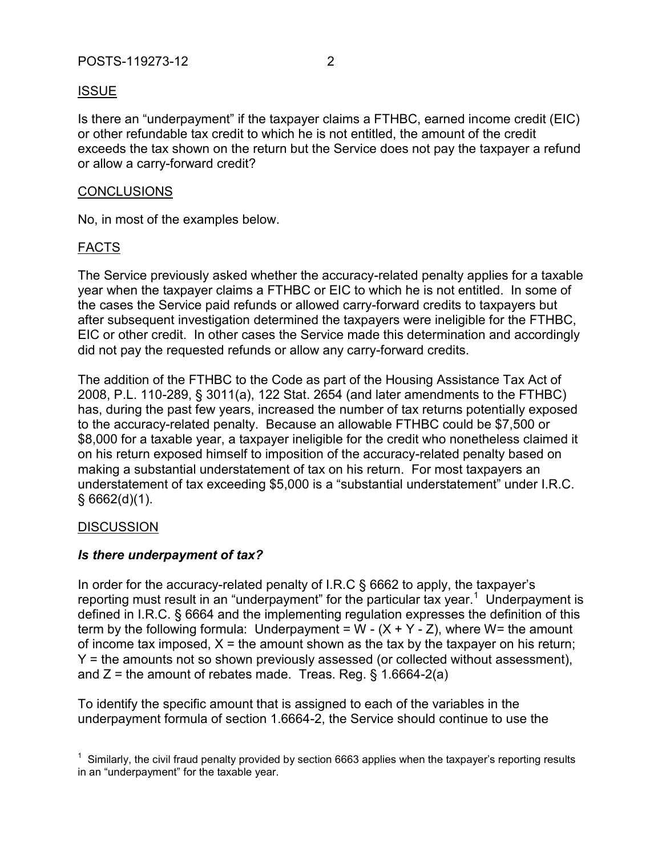Is there an "underpayment" if the taxpayer claims a FTHBC, earned income credit (EIC) or other refundable tax credit to which he is not entitled, the amount of the credit exceeds the tax shown on the return but the Service does not pay the taxpayer a refund or allow a carry-forward credit?

#### **CONCLUSIONS**

No, in most of the examples below.

### FACTS

The Service previously asked whether the accuracy-related penalty applies for a taxable year when the taxpayer claims a FTHBC or EIC to which he is not entitled. In some of the cases the Service paid refunds or allowed carry-forward credits to taxpayers but after subsequent investigation determined the taxpayers were ineligible for the FTHBC, EIC or other credit. In other cases the Service made this determination and accordingly did not pay the requested refunds or allow any carry-forward credits.

The addition of the FTHBC to the Code as part of the Housing Assistance Tax Act of 2008, P.L. 110-289, § 3011(a), 122 Stat. 2654 (and later amendments to the FTHBC) has, during the past few years, increased the number of tax returns potentially exposed to the accuracy-related penalty. Because an allowable FTHBC could be \$7,500 or \$8,000 for a taxable year, a taxpayer ineligible for the credit who nonetheless claimed it on his return exposed himself to imposition of the accuracy-related penalty based on making a substantial understatement of tax on his return. For most taxpayers an understatement of tax exceeding \$5,000 is a "substantial understatement" under I.R.C.  $§ 6662(d)(1).$ 

#### DISCUSSION

## *Is there underpayment of tax?*

In order for the accuracy-related penalty of I.R.C § 6662 to apply, the taxpayer's reporting must result in an "underpayment" for the particular tax year.<sup>1</sup> Underpayment is defined in I.R.C. § 6664 and the implementing regulation expresses the definition of this term by the following formula: Underpayment =  $W - (X + Y - Z)$ , where W= the amount of income tax imposed,  $X =$  the amount shown as the tax by the taxpayer on his return; Y = the amounts not so shown previously assessed (or collected without assessment), and  $Z =$  the amount of rebates made. Treas. Reg. § 1.6664-2(a)

To identify the specific amount that is assigned to each of the variables in the underpayment formula of section 1.6664-2, the Service should continue to use the

 $1$  Similarly, the civil fraud penalty provided by section 6663 applies when the taxpayer's reporting results in an "underpayment" for the taxable year.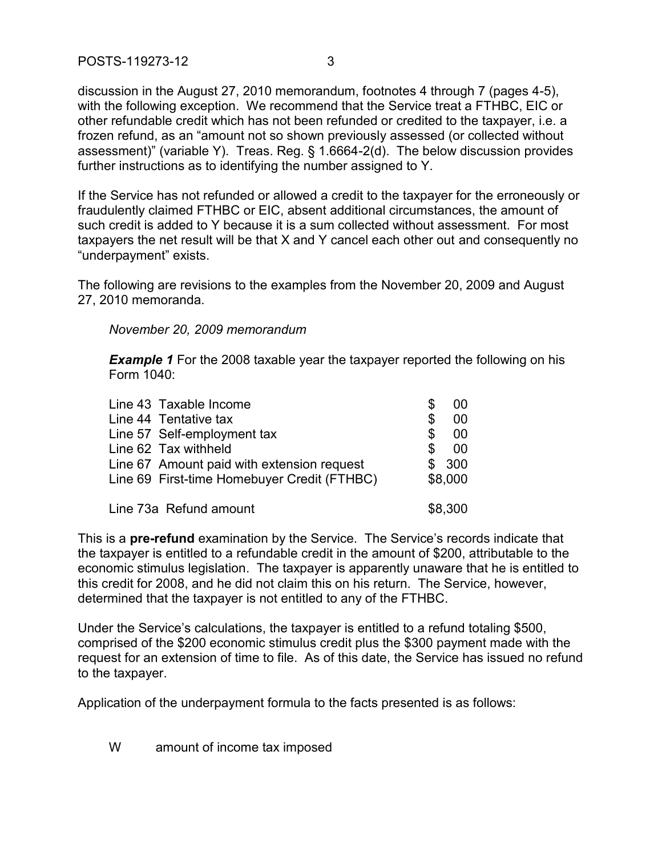POSTS-119273-12 3

discussion in the August 27, 2010 memorandum, footnotes 4 through 7 (pages 4-5), with the following exception. We recommend that the Service treat a FTHBC, EIC or other refundable credit which has not been refunded or credited to the taxpayer, i.e. a frozen refund, as an "amount not so shown previously assessed (or collected without assessment)" (variable Y). Treas. Reg. § 1.6664-2(d). The below discussion provides further instructions as to identifying the number assigned to Y.

If the Service has not refunded or allowed a credit to the taxpayer for the erroneously or fraudulently claimed FTHBC or EIC, absent additional circumstances, the amount of such credit is added to Y because it is a sum collected without assessment. For most taxpayers the net result will be that X and Y cancel each other out and consequently no "underpayment" exists.

The following are revisions to the examples from the November 20, 2009 and August 27, 2010 memoranda.

*November 20, 2009 memorandum*

**Example 1** For the 2008 taxable year the taxpayer reported the following on his Form 1040:

| Line 43 Taxable Income                      | \$. | 00      |
|---------------------------------------------|-----|---------|
| Line 44 Tentative tax                       | S   | 00      |
| Line 57 Self-employment tax                 | \$  | 00      |
| Line 62 Tax withheld                        | S   | 00      |
| Line 67 Amount paid with extension request  |     | \$300   |
| Line 69 First-time Homebuyer Credit (FTHBC) |     | \$8,000 |
| Line 73a Refund amount                      |     | \$8,300 |

This is a **pre-refund** examination by the Service. The Service's records indicate that the taxpayer is entitled to a refundable credit in the amount of \$200, attributable to the economic stimulus legislation. The taxpayer is apparently unaware that he is entitled to this credit for 2008, and he did not claim this on his return. The Service, however, determined that the taxpayer is not entitled to any of the FTHBC.

Under the Service's calculations, the taxpayer is entitled to a refund totaling \$500, comprised of the \$200 economic stimulus credit plus the \$300 payment made with the request for an extension of time to file. As of this date, the Service has issued no refund to the taxpayer.

Application of the underpayment formula to the facts presented is as follows:

W amount of income tax imposed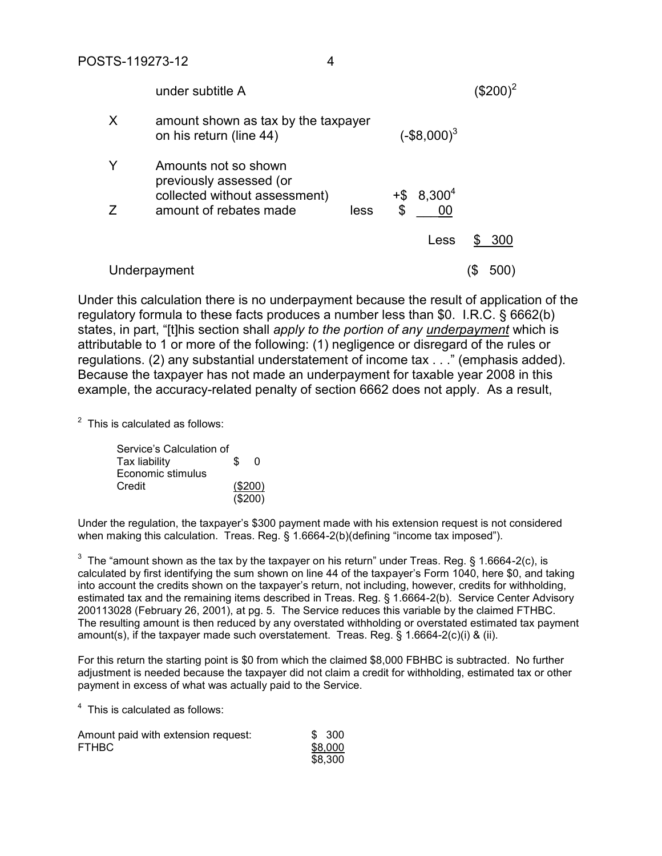|   | under subtitle A                                                                                           |      |                                 |     |
|---|------------------------------------------------------------------------------------------------------------|------|---------------------------------|-----|
| X | amount shown as tax by the taxpayer<br>on his return (line 44)                                             |      | $(-\$8,000)^3$                  |     |
| Z | Amounts not so shown<br>previously assessed (or<br>collected without assessment)<br>amount of rebates made | less | $+$ \$ 8,300 <sup>4</sup><br>\$ |     |
|   |                                                                                                            |      | Less                            | 300 |
|   | Underpayment                                                                                               |      |                                 | 500 |

Under this calculation there is no underpayment because the result of application of the regulatory formula to these facts produces a number less than \$0. I.R.C. § 6662(b) states, in part, "[t]his section shall *apply to the portion of any underpayment* which is attributable to 1 or more of the following: (1) negligence or disregard of the rules or regulations. (2) any substantial understatement of income tax . . ." (emphasis added). Because the taxpayer has not made an underpayment for taxable year 2008 in this example, the accuracy-related penalty of section 6662 does not apply. As a result,

 $2$  This is calculated as follows:

| Service's Calculation of |    |         |
|--------------------------|----|---------|
| <b>Tax liability</b>     | S. | n       |
| Economic stimulus        |    |         |
| Credit                   |    | (\$200) |
|                          |    | (\$200) |

Under the regulation, the taxpayer's \$300 payment made with his extension request is not considered when making this calculation. Treas. Reg. § 1.6664-2(b)(defining "income tax imposed").

<sup>3</sup> The "amount shown as the tax by the taxpayer on his return" under Treas. Reg. § 1.6664-2(c), is calculated by first identifying the sum shown on line 44 of the taxpayer's Form 1040, here \$0, and taking into account the credits shown on the taxpayer's return, not including, however, credits for withholding, estimated tax and the remaining items described in Treas. Reg. § 1.6664-2(b). Service Center Advisory 200113028 (February 26, 2001), at pg. 5. The Service reduces this variable by the claimed FTHBC. The resulting amount is then reduced by any overstated withholding or overstated estimated tax payment amount(s), if the taxpayer made such overstatement. Treas. Reg. § 1.6664-2(c)(i) & (ii).

For this return the starting point is \$0 from which the claimed \$8,000 FBHBC is subtracted. No further adjustment is needed because the taxpayer did not claim a credit for withholding, estimated tax or other payment in excess of what was actually paid to the Service.

<sup>4</sup> This is calculated as follows:

| Amount paid with extension request: | \$ 300  |
|-------------------------------------|---------|
| <b>FTHBC</b>                        | \$8,000 |
|                                     | \$8,300 |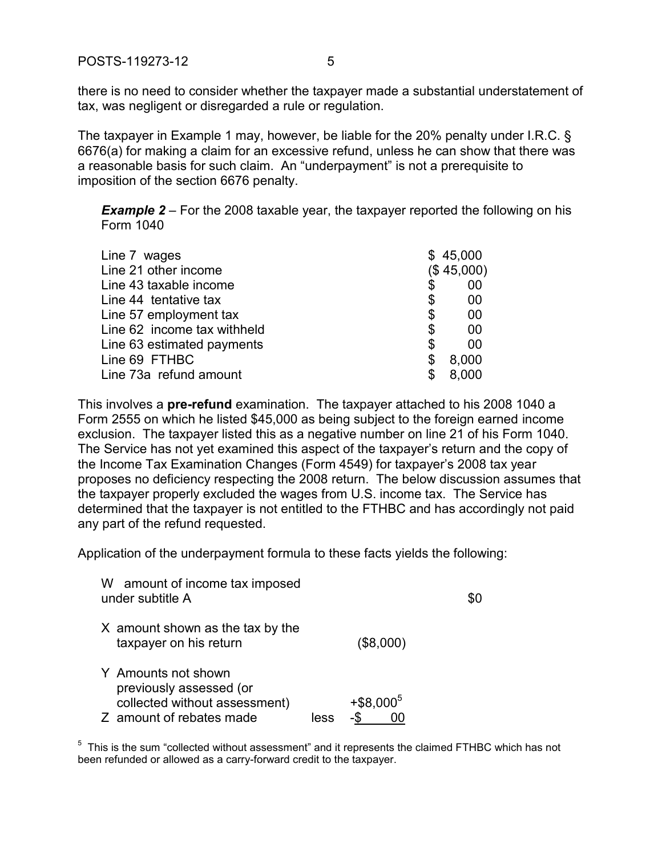there is no need to consider whether the taxpayer made a substantial understatement of tax, was negligent or disregarded a rule or regulation.

The taxpayer in Example 1 may, however, be liable for the 20% penalty under I.R.C. § 6676(a) for making a claim for an excessive refund, unless he can show that there was a reasonable basis for such claim. An "underpayment" is not a prerequisite to imposition of the section 6676 penalty.

**Example 2** – For the 2008 taxable year, the taxpayer reported the following on his Form 1040

| Line 7 wages                | \$45,000    |
|-----------------------------|-------------|
| Line 21 other income        | (\$45,000)  |
| Line 43 taxable income      | \$<br>00    |
| Line 44 tentative tax       | \$<br>00    |
| Line 57 employment tax      | \$<br>00    |
| Line 62 income tax withheld | \$<br>00    |
| Line 63 estimated payments  | \$<br>00    |
| Line 69 FTHBC               | \$<br>8,000 |
| Line 73a refund amount      | \$<br>8,000 |
|                             |             |

This involves a **pre-refund** examination. The taxpayer attached to his 2008 1040 a Form 2555 on which he listed \$45,000 as being subject to the foreign earned income exclusion. The taxpayer listed this as a negative number on line 21 of his Form 1040. The Service has not yet examined this aspect of the taxpayer's return and the copy of the Income Tax Examination Changes (Form 4549) for taxpayer's 2008 tax year proposes no deficiency respecting the 2008 return. The below discussion assumes that the taxpayer properly excluded the wages from U.S. income tax. The Service has determined that the taxpayer is not entitled to the FTHBC and has accordingly not paid any part of the refund requested.

Application of the underpayment formula to these facts yields the following:

| W amount of income tax imposed<br>under subtitle A                                                          |      |                        | \$0 |
|-------------------------------------------------------------------------------------------------------------|------|------------------------|-----|
| X amount shown as the tax by the<br>taxpayer on his return                                                  |      | (\$8,000)              |     |
| Y Amounts not shown<br>previously assessed (or<br>collected without assessment)<br>Z amount of rebates made | less | $+$ \$8,000 $^{\circ}$ |     |

 $5$  This is the sum "collected without assessment" and it represents the claimed FTHBC which has not been refunded or allowed as a carry-forward credit to the taxpayer.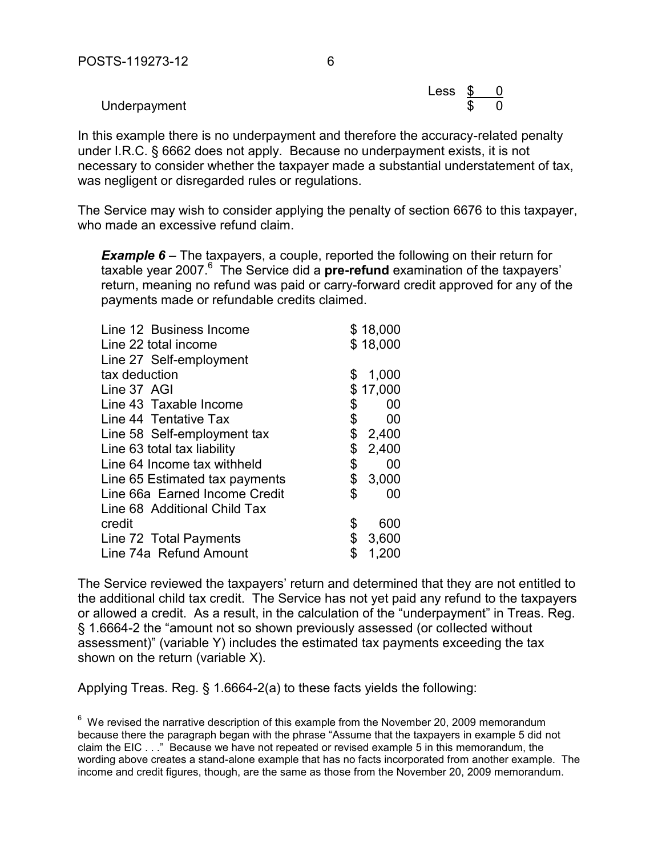Less  $\frac{\$}{\$}$  0

Underpayment

In this example there is no underpayment and therefore the accuracy-related penalty under I.R.C. § 6662 does not apply. Because no underpayment exists, it is not necessary to consider whether the taxpayer made a substantial understatement of tax, was negligent or disregarded rules or regulations.

The Service may wish to consider applying the penalty of section 6676 to this taxpayer, who made an excessive refund claim.

**Example 6** – The taxpayers, a couple, reported the following on their return for taxable year 2007.<sup>6</sup> The Service did a **pre-refund** examination of the taxpayers' return, meaning no refund was paid or carry-forward credit approved for any of the payments made or refundable credits claimed.

| Line 12 Business Income        |                           | \$18,000 |
|--------------------------------|---------------------------|----------|
| Line 22 total income           |                           | \$18,000 |
| Line 27 Self-employment        |                           |          |
| tax deduction                  | \$                        | 1,000    |
| Line 37 AGI                    |                           | \$17,000 |
| Line 43 Taxable Income         | \$                        | 00       |
| Line 44 Tentative Tax          | \$                        | 00       |
| Line 58 Self-employment tax    | \$                        | 2,400    |
| Line 63 total tax liability    | $\boldsymbol{\mathsf{S}}$ | 2,400    |
| Line 64 Income tax withheld    | \$                        | 00       |
| Line 65 Estimated tax payments | \$                        | 3,000    |
| Line 66a Earned Income Credit  | \$                        | 00       |
| Line 68 Additional Child Tax   |                           |          |
| credit                         | \$                        | 600      |
| Line 72 Total Payments         | \$                        | 3,600    |
| Line 74a Refund Amount         | \$                        | 1,200    |

The Service reviewed the taxpayers' return and determined that they are not entitled to the additional child tax credit. The Service has not yet paid any refund to the taxpayers or allowed a credit. As a result, in the calculation of the "underpayment" in Treas. Reg. § 1.6664-2 the "amount not so shown previously assessed (or collected without assessment)" (variable Y) includes the estimated tax payments exceeding the tax shown on the return (variable X).

Applying Treas. Reg. § 1.6664-2(a) to these facts yields the following:

 $6\,$  We revised the narrative description of this example from the November 20, 2009 memorandum because there the paragraph began with the phrase "Assume that the taxpayers in example 5 did not claim the EIC . . ." Because we have not repeated or revised example 5 in this memorandum, the wording above creates a stand-alone example that has no facts incorporated from another example. The income and credit figures, though, are the same as those from the November 20, 2009 memorandum.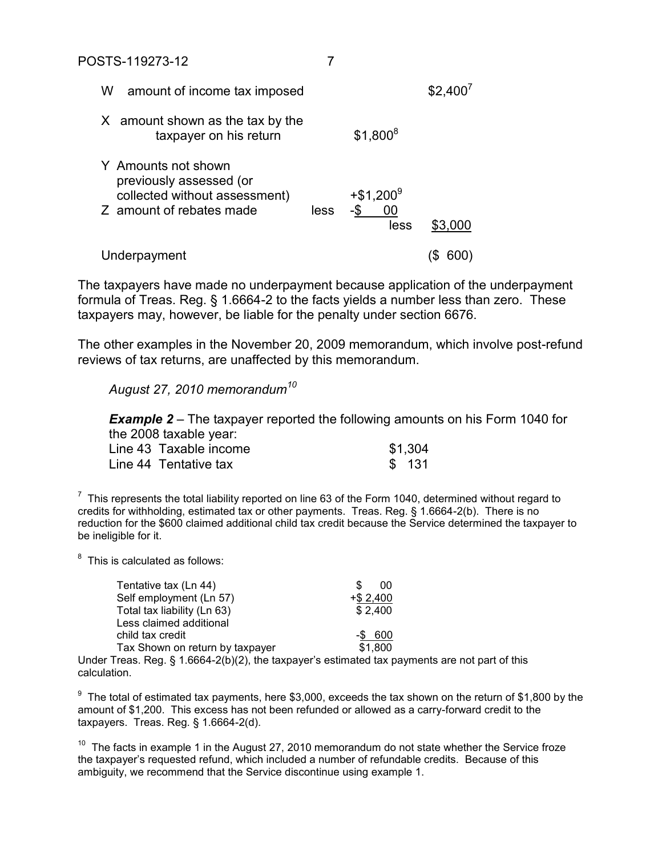| W | amount of income tax imposed                                                                                |      |                                 | \$2,400' |
|---|-------------------------------------------------------------------------------------------------------------|------|---------------------------------|----------|
|   | X amount shown as the tax by the<br>taxpayer on his return                                                  |      | $$1,800^8$                      |          |
|   | Y Amounts not shown<br>previously assessed (or<br>collected without assessment)<br>Z amount of rebates made | less | $+$ \$1,200 $^9$<br>-\$<br>less | \$3,000  |
|   | Underpayment                                                                                                |      |                                 | 60       |

The taxpayers have made no underpayment because application of the underpayment formula of Treas. Reg. § 1.6664-2 to the facts yields a number less than zero. These taxpayers may, however, be liable for the penalty under section 6676.

The other examples in the November 20, 2009 memorandum, which involve post-refund reviews of tax returns, are unaffected by this memorandum.

*August 27, 2010 memorandum<sup>10</sup>*

*Example 2* – The taxpayer reported the following amounts on his Form 1040 for the 2008 taxable year:

| Line 43 Taxable income | \$1,304 |
|------------------------|---------|
| Line 44 Tentative tax  | \$131   |

 $7$  This represents the total liability reported on line 63 of the Form 1040, determined without regard to credits for withholding, estimated tax or other payments. Treas. Reg. § 1.6664-2(b). There is no reduction for the \$600 claimed additional child tax credit because the Service determined the taxpayer to be ineligible for it.

 $8$  This is calculated as follows:

| Tentative tax (Ln 44)           | S<br>00      |
|---------------------------------|--------------|
| Self employment (Ln 57)         | $+$ \$ 2,400 |
| Total tax liability (Ln 63)     | \$2,400      |
| Less claimed additional         |              |
| child tax credit                | -\$600       |
| Tax Shown on return by taxpayer | \$1,800      |

Under Treas. Reg. § 1.6664-2(b)(2), the taxpayer's estimated tax payments are not part of this calculation.

 $9$  The total of estimated tax payments, here \$3,000, exceeds the tax shown on the return of \$1,800 by the amount of \$1,200. This excess has not been refunded or allowed as a carry-forward credit to the taxpayers. Treas. Reg. § 1.6664-2(d).

 $10$  The facts in example 1 in the August 27, 2010 memorandum do not state whether the Service froze the taxpayer's requested refund, which included a number of refundable credits. Because of this ambiguity, we recommend that the Service discontinue using example 1.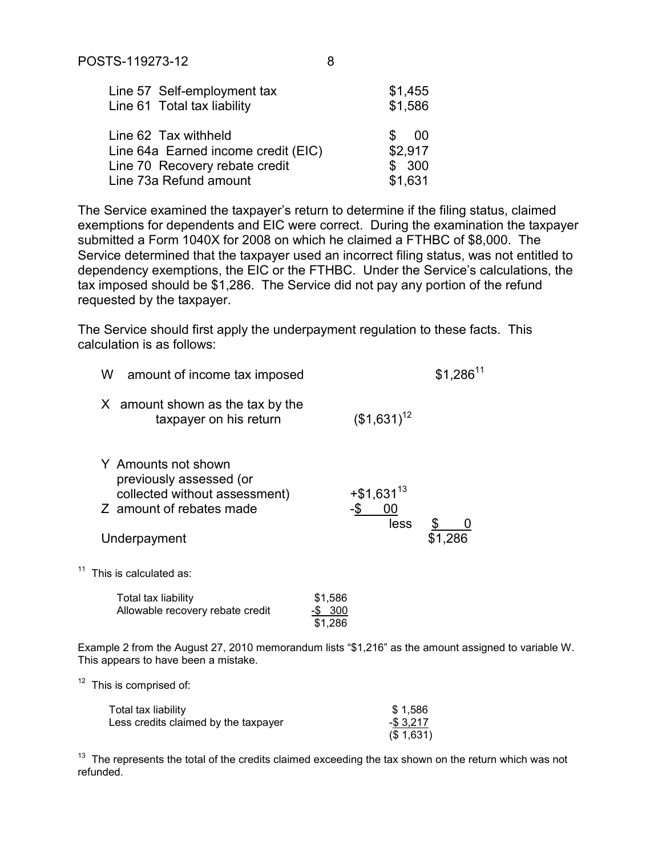| Line 57 Self-employment tax<br>Line 61 Total tax liability | \$1,455<br>\$1,586 |
|------------------------------------------------------------|--------------------|
|                                                            |                    |
| Line 62 Tax withheld                                       | \$.<br>- 00        |
| Line 64a Earned income credit (EIC)                        | \$2,917            |
| Line 70 Recovery rebate credit                             | \$300              |
| Line 73a Refund amount                                     | \$1,631            |

The Service examined the taxpayer's return to determine if the filing status, claimed exemptions for dependents and EIC were correct. During the examination the taxpayer submitted a Form 1040X for 2008 on which he claimed a FTHBC of \$8,000. The Service determined that the taxpayer used an incorrect filing status, was not entitled to dependency exemptions, the EIC or the FTHBC. Under the Service's calculations, the tax imposed should be \$1,286. The Service did not pay any portion of the refund requested by the taxpayer.

The Service should first apply the underpayment regulation to these facts. This calculation is as follows:

| W<br>amount of income tax imposed                                                                                           |                                         | $$1,286$ <sup>11</sup> |
|-----------------------------------------------------------------------------------------------------------------------------|-----------------------------------------|------------------------|
| X amount shown as the tax by the<br>taxpayer on his return                                                                  | $($1,631)^{12}$                         |                        |
| Y Amounts not shown<br>previously assessed (or<br>collected without assessment)<br>Z amount of rebates made<br>Underpayment | $+$ \$1,631 <sup>13</sup><br>00<br>less | \$1,286                |
| This is calculated as:                                                                                                      |                                         |                        |
| Total tax liability<br>Allowable recovery rebate credit                                                                     | \$1,586<br>-\$300<br>\$1,286            |                        |

Example 2 from the August 27, 2010 memorandum lists "\$1,216" as the amount assigned to variable W. This appears to have been a mistake.

 $12$  This is comprised of:

| Total tax liability                  | \$1.586     |
|--------------------------------------|-------------|
| Less credits claimed by the taxpayer | $-$ \$3.217 |
|                                      | (\$1,631)   |

 $13$  The represents the total of the credits claimed exceeding the tax shown on the return which was not refunded.